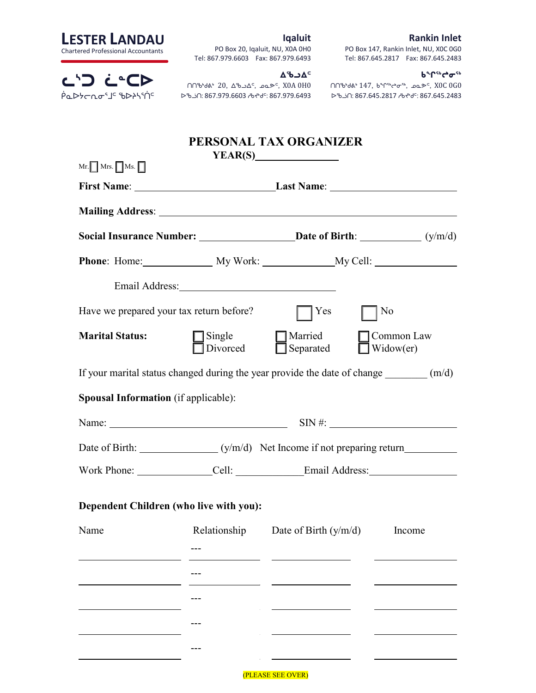### Rankin Inlet

| <b>LESTER LANDAU</b>                      |
|-------------------------------------------|
| <b>Chartered Professional Accountants</b> |

ᓚᔅᑐ ᓛᓐᑕᐅ Ά⊾≻לאקים

## Iqaluit

PO Box 20, Iqaluit, NU, X0A 0H0 Tel: 867.979.6603 Fax: 867.979.6493

#### ᑲᖏᕐᒃᖠᓂᕐᒃ

ᑎᑎᖃᒃᑯᕕᒃ 147, ᑲᖏᕐᒃᖠᓂᕐᒃ, ᓄᓇᕗᑦ, X0C 0G0 ᐅᖃᓘᑎ: 867.645.2817 ᓱᑲᔪᒃᑯᑦ: 867.645.2483

PO Box 147, Rankin Inlet, NU, X0C 0G0 Tel: 867.645.2817 Fax: 867.645.2483

ᐃᖃᓗᐃᑦ ᑎᑎᖃᒃᑯᕕᒃ 20, ᐃᖃᓗᐃᑦ, ᓄᓇᕗᑦ, X0A 0H0 ᐅᖃᓘᑎ: 867.979.6603 ᓱᑲᔪᒃᑯᑦ: 867.979.6493

## PERSONAL TAX ORGANIZER  $VFAD(C)$

| $Mr. \Box$ Mrs. $\Box$ Ms. $\Box$           |                                                                                                                                                                                                                               | ILAN(3)                                                                                              |                                   |  |
|---------------------------------------------|-------------------------------------------------------------------------------------------------------------------------------------------------------------------------------------------------------------------------------|------------------------------------------------------------------------------------------------------|-----------------------------------|--|
|                                             |                                                                                                                                                                                                                               | First Name: Last Name: Last Name:                                                                    |                                   |  |
|                                             |                                                                                                                                                                                                                               |                                                                                                      |                                   |  |
|                                             |                                                                                                                                                                                                                               |                                                                                                      |                                   |  |
|                                             |                                                                                                                                                                                                                               |                                                                                                      |                                   |  |
|                                             | Email Address: 2008. [19] Annual Address: 2008. [19] Annual Address: 2008. [19] Annual Address: 2008. [19] Annual Address: 2008. [19] Annual Address: 2008. [19] Annual Address: 2008. [19] Annual Address: 2008. [19] Annual |                                                                                                      |                                   |  |
| Have we prepared your tax return before?    |                                                                                                                                                                                                                               | Yes                                                                                                  | N <sub>0</sub>                    |  |
| <b>Marital Status:</b>                      | $\Box$ Single<br>Divorced                                                                                                                                                                                                     | Married<br>Separated                                                                                 | Common Law<br>$\exists$ Widow(er) |  |
|                                             |                                                                                                                                                                                                                               | If your marital status changed during the year provide the date of change $\qquad (m/d)$             |                                   |  |
| <b>Spousal Information</b> (if applicable): |                                                                                                                                                                                                                               |                                                                                                      |                                   |  |
|                                             |                                                                                                                                                                                                                               |                                                                                                      |                                   |  |
|                                             |                                                                                                                                                                                                                               |                                                                                                      |                                   |  |
|                                             |                                                                                                                                                                                                                               | Work Phone: _________________Cell: __________________Email Address: ________________________________ |                                   |  |
|                                             | Dependent Children (who live with you):                                                                                                                                                                                       |                                                                                                      |                                   |  |
| Name                                        | Relationship                                                                                                                                                                                                                  | Date of Birth $(y/m/d)$                                                                              | Income                            |  |
|                                             |                                                                                                                                                                                                                               |                                                                                                      |                                   |  |
|                                             |                                                                                                                                                                                                                               |                                                                                                      |                                   |  |
|                                             |                                                                                                                                                                                                                               |                                                                                                      |                                   |  |
|                                             |                                                                                                                                                                                                                               |                                                                                                      |                                   |  |
|                                             |                                                                                                                                                                                                                               |                                                                                                      |                                   |  |
|                                             |                                                                                                                                                                                                                               | (PLEASE SEE OVER)                                                                                    |                                   |  |